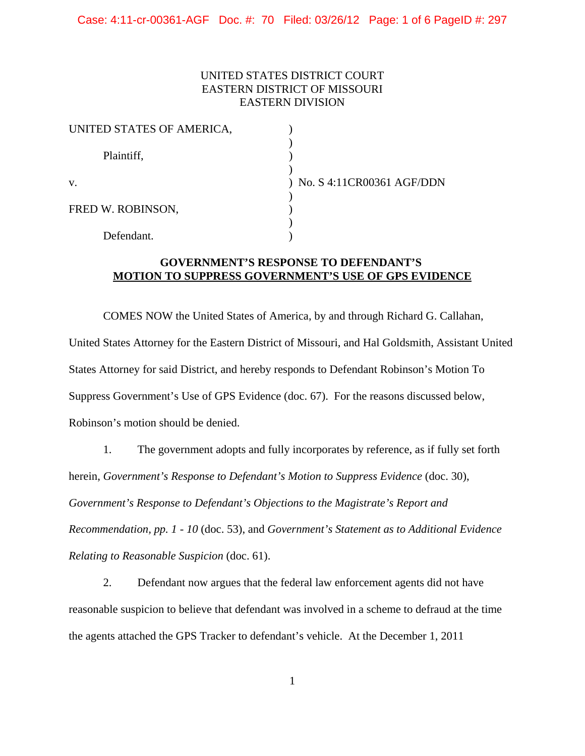## UNITED STATES DISTRICT COURT EASTERN DISTRICT OF MISSOURI EASTERN DIVISION

| UNITED STATES OF AMERICA, |                             |
|---------------------------|-----------------------------|
| Plaintiff,                |                             |
| V.                        | ) No. S 4:11CR00361 AGF/DDN |
| FRED W. ROBINSON,         |                             |
| Defendant.                |                             |

## **GOVERNMENT'S RESPONSE TO DEFENDANT'S MOTION TO SUPPRESS GOVERNMENT'S USE OF GPS EVIDENCE**

COMES NOW the United States of America, by and through Richard G. Callahan, United States Attorney for the Eastern District of Missouri, and Hal Goldsmith, Assistant United States Attorney for said District, and hereby responds to Defendant Robinson's Motion To Suppress Government's Use of GPS Evidence (doc. 67). For the reasons discussed below, Robinson's motion should be denied.

1. The government adopts and fully incorporates by reference, as if fully set forth herein, *Government's Response to Defendant's Motion to Suppress Evidence* (doc. 30), *Government's Response to Defendant's Objections to the Magistrate's Report and Recommendation, pp. 1 - 10* (doc. 53), and *Government's Statement as to Additional Evidence Relating to Reasonable Suspicion* (doc. 61).

2. Defendant now argues that the federal law enforcement agents did not have reasonable suspicion to believe that defendant was involved in a scheme to defraud at the time the agents attached the GPS Tracker to defendant's vehicle. At the December 1, 2011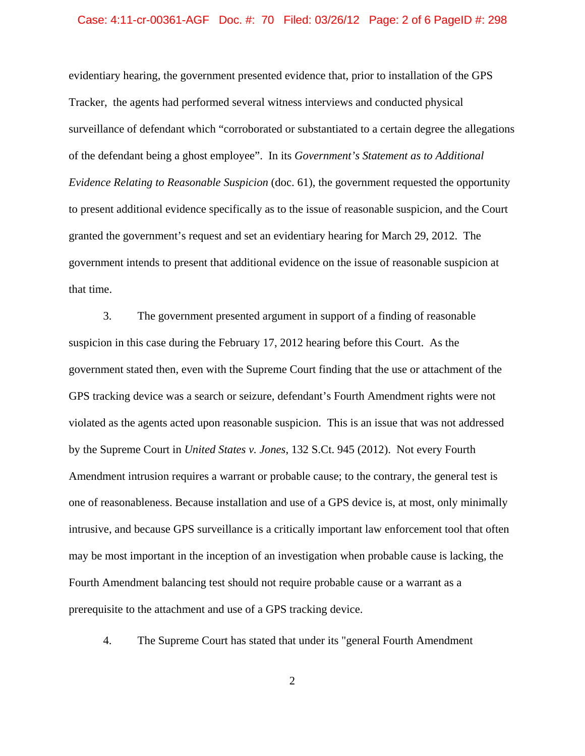#### Case: 4:11-cr-00361-AGF Doc. #: 70 Filed: 03/26/12 Page: 2 of 6 PageID #: 298

evidentiary hearing, the government presented evidence that, prior to installation of the GPS Tracker, the agents had performed several witness interviews and conducted physical surveillance of defendant which "corroborated or substantiated to a certain degree the allegations of the defendant being a ghost employee". In its *Government's Statement as to Additional Evidence Relating to Reasonable Suspicion* (doc. 61), the government requested the opportunity to present additional evidence specifically as to the issue of reasonable suspicion, and the Court granted the government's request and set an evidentiary hearing for March 29, 2012. The government intends to present that additional evidence on the issue of reasonable suspicion at that time.

3. The government presented argument in support of a finding of reasonable suspicion in this case during the February 17, 2012 hearing before this Court. As the government stated then, even with the Supreme Court finding that the use or attachment of the GPS tracking device was a search or seizure, defendant's Fourth Amendment rights were not violated as the agents acted upon reasonable suspicion. This is an issue that was not addressed by the Supreme Court in *United States v. Jones*, 132 S.Ct. 945 (2012). Not every Fourth Amendment intrusion requires a warrant or probable cause; to the contrary, the general test is one of reasonableness. Because installation and use of a GPS device is, at most, only minimally intrusive, and because GPS surveillance is a critically important law enforcement tool that often may be most important in the inception of an investigation when probable cause is lacking, the Fourth Amendment balancing test should not require probable cause or a warrant as a prerequisite to the attachment and use of a GPS tracking device.

4. The Supreme Court has stated that under its "general Fourth Amendment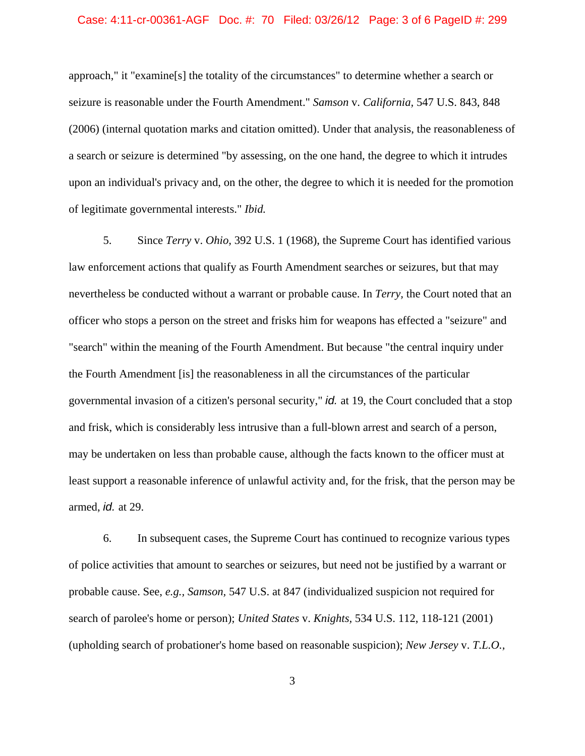# Case: 4:11-cr-00361-AGF Doc. #: 70 Filed: 03/26/12 Page: 3 of 6 PageID #: 299

approach," it "examine[s] the totality of the circumstances" to determine whether a search or seizure is reasonable under the Fourth Amendment." *Samson* v. *California,* 547 U.S. 843, 848 (2006) (internal quotation marks and citation omitted). Under that analysis, the reasonableness of a search or seizure is determined "by assessing, on the one hand, the degree to which it intrudes upon an individual's privacy and, on the other, the degree to which it is needed for the promotion of legitimate governmental interests." *Ibid.*

5. Since *Terry* v. *Ohio,* 392 U.S. 1 (1968), the Supreme Court has identified various law enforcement actions that qualify as Fourth Amendment searches or seizures, but that may nevertheless be conducted without a warrant or probable cause. In *Terry,* the Court noted that an officer who stops a person on the street and frisks him for weapons has effected a "seizure" and "search" within the meaning of the Fourth Amendment. But because "the central inquiry under the Fourth Amendment [is] the reasonableness in all the circumstances of the particular governmental invasion of a citizen's personal security," *id.* at 19, the Court concluded that a stop and frisk, which is considerably less intrusive than a full-blown arrest and search of a person, may be undertaken on less than probable cause, although the facts known to the officer must at least support a reasonable inference of unlawful activity and, for the frisk, that the person may be armed, *id.* at 29.

6. In subsequent cases, the Supreme Court has continued to recognize various types of police activities that amount to searches or seizures, but need not be justified by a warrant or probable cause. See, *e.g., Samson,* 547 U.S. at 847 (individualized suspicion not required for search of parolee's home or person); *United States* v. *Knights,* 534 U.S. 112, 118-121 (2001) (upholding search of probationer's home based on reasonable suspicion); *New Jersey* v. *T.L.O.,*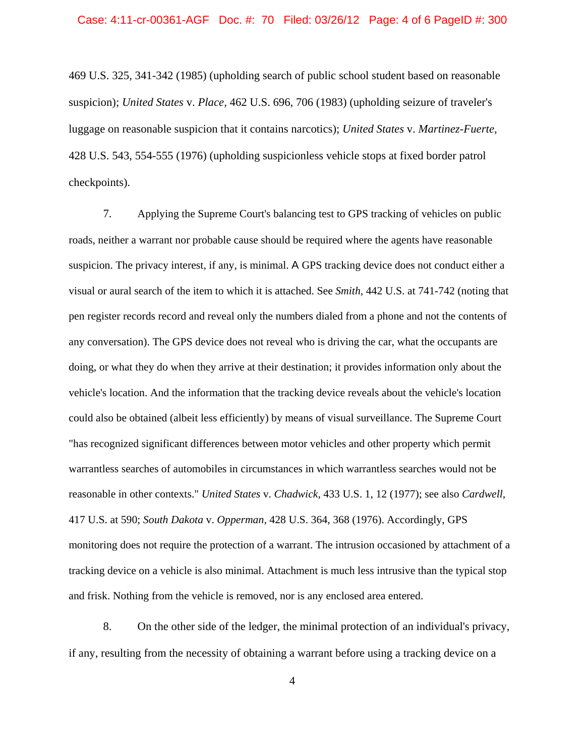469 U.S. 325, 341-342 (1985) (upholding search of public school student based on reasonable suspicion); *United States* v. *Place,* 462 U.S. 696, 706 (1983) (upholding seizure of traveler's luggage on reasonable suspicion that it contains narcotics); *United States* v. *Martinez-Fuerte,* 428 U.S. 543, 554-555 (1976) (upholding suspicionless vehicle stops at fixed border patrol checkpoints).

7. Applying the Supreme Court's balancing test to GPS tracking of vehicles on public roads, neither a warrant nor probable cause should be required where the agents have reasonable suspicion. The privacy interest, if any, is minimal. A GPS tracking device does not conduct either a visual or aural search of the item to which it is attached. See *Smith,* 442 U.S. at 741-742 (noting that pen register records record and reveal only the numbers dialed from a phone and not the contents of any conversation). The GPS device does not reveal who is driving the car, what the occupants are doing, or what they do when they arrive at their destination; it provides information only about the vehicle's location. And the information that the tracking device reveals about the vehicle's location could also be obtained (albeit less efficiently) by means of visual surveillance. The Supreme Court "has recognized significant differences between motor vehicles and other property which permit warrantless searches of automobiles in circumstances in which warrantless searches would not be reasonable in other contexts." *United States* v. *Chadwick,* 433 U.S. 1, 12 (1977); see also *Cardwell,* 417 U.S. at 590; *South Dakota* v. *Opperman,* 428 U.S. 364, 368 (1976). Accordingly, GPS monitoring does not require the protection of a warrant. The intrusion occasioned by attachment of a tracking device on a vehicle is also minimal. Attachment is much less intrusive than the typical stop and frisk. Nothing from the vehicle is removed, nor is any enclosed area entered.

8. On the other side of the ledger, the minimal protection of an individual's privacy, if any, resulting from the necessity of obtaining a warrant before using a tracking device on a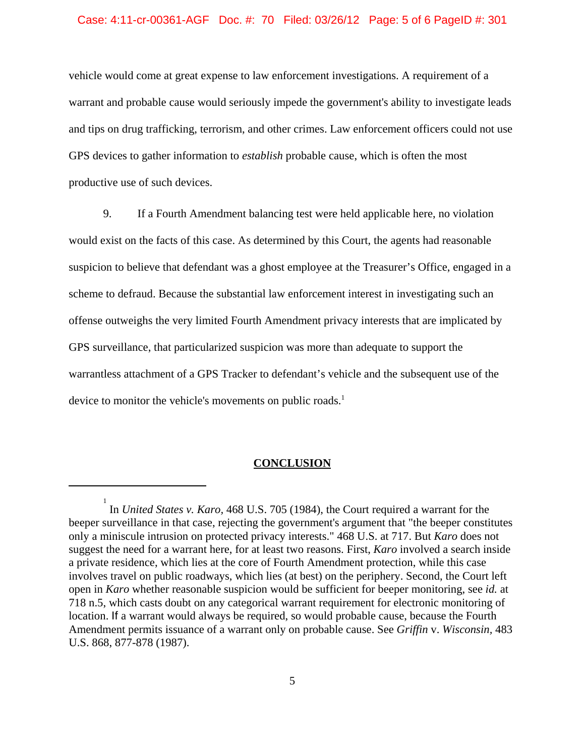#### Case: 4:11-cr-00361-AGF Doc. #: 70 Filed: 03/26/12 Page: 5 of 6 PageID #: 301

vehicle would come at great expense to law enforcement investigations. A requirement of a warrant and probable cause would seriously impede the government's ability to investigate leads and tips on drug trafficking, terrorism, and other crimes. Law enforcement officers could not use GPS devices to gather information to *establish* probable cause, which is often the most productive use of such devices.

9. If a Fourth Amendment balancing test were held applicable here, no violation would exist on the facts of this case. As determined by this Court, the agents had reasonable suspicion to believe that defendant was a ghost employee at the Treasurer's Office, engaged in a scheme to defraud. Because the substantial law enforcement interest in investigating such an offense outweighs the very limited Fourth Amendment privacy interests that are implicated by GPS surveillance, that particularized suspicion was more than adequate to support the warrantless attachment of a GPS Tracker to defendant's vehicle and the subsequent use of the device to monitor the vehicle's movements on public roads.<sup>1</sup>

### **CONCLUSION**

<sup>1</sup> In *United States v. Karo,* 468 U.S. 705 (1984), the Court required a warrant for the beeper surveillance in that case, rejecting the government's argument that "the beeper constitutes only a miniscule intrusion on protected privacy interests." 468 U.S. at 717. But *Karo* does not suggest the need for a warrant here, for at least two reasons. First, *Karo* involved a search inside a private residence, which lies at the core of Fourth Amendment protection, while this case involves travel on public roadways, which lies (at best) on the periphery. Second, the Court left open in *Karo* whether reasonable suspicion would be sufficient for beeper monitoring, see *id.* at 718 n.5, which casts doubt on any categorical warrant requirement for electronic monitoring of location. If a warrant would always be required, so would probable cause, because the Fourth Amendment permits issuance of a warrant only on probable cause. See *Griffin* v. *Wisconsin,* 483 U.S. 868, 877-878 (1987).